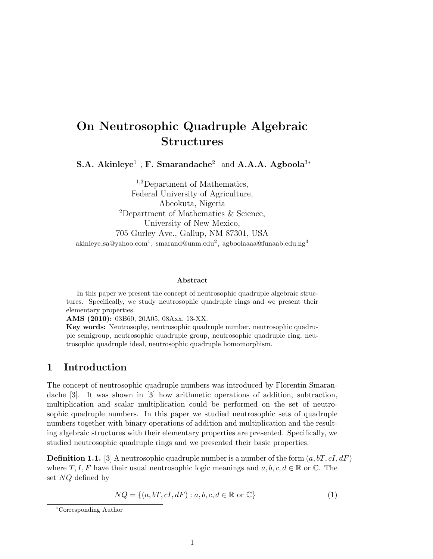# On Neutrosophic Quadruple Algebraic Structures

S.A. Akinleye<sup>1</sup>, F. Smarandache<sup>2</sup> and A.A.A. Agboola<sup>3\*</sup>

<sup>1,3</sup>Department of Mathematics, Federal University of Agriculture, Abeokuta, Nigeria <sup>2</sup>Department of Mathematics & Science, University of New Mexico, 705 Gurley Ave., Gallup, NM 87301, USA  $a$ kinleye\_sa@yahoo.com $^1$ , smarand@unm.edu $^2$ , agboolaaaa@funaab.edu.ng $^3$ 

#### Abstract

In this paper we present the concept of neutrosophic quadruple algebraic structures. Specifically, we study neutrosophic quadruple rings and we present their elementary properties.

AMS (2010): 03B60, 20A05, 08Axx, 13-XX.

Key words: Neutrosophy, neutrosophic quadruple number, neutrosophic quadruple semigroup, neutrosophic quadruple group, neutrosophic quadruple ring, neutrosophic quadruple ideal, neutrosophic quadruple homomorphism.

#### 1 Introduction

The concept of neutrosophic quadruple numbers was introduced by Florentin Smarandache [3]. It was shown in [3] how arithmetic operations of addition, subtraction, multiplication and scalar multiplication could be performed on the set of neutrosophic quadruple numbers. In this paper we studied neutrosophic sets of quadruple numbers together with binary operations of addition and multiplication and the resulting algebraic structures with their elementary properties are presented. Specifically, we studied neutrosophic quadruple rings and we presented their basic properties.

**Definition 1.1.** [3] A neutrosophic quadruple number is a number of the form  $(a, bT, cI, dF)$ where T, I, F have their usual neutrosophic logic meanings and  $a, b, c, d \in \mathbb{R}$  or  $\mathbb{C}$ . The set NQ defined by

$$
NQ = \{(a, bT, cI, dF) : a, b, c, d \in \mathbb{R} \text{ or } \mathbb{C}\}\
$$
 (1)

<sup>∗</sup>Corresponding Author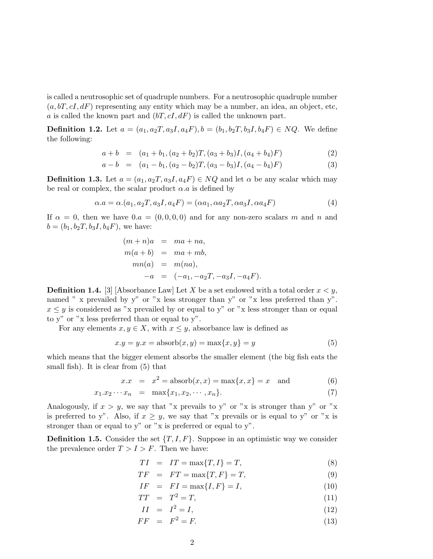is called a neutrosophic set of quadruple numbers. For a neutrosophic quadruple number  $(a, bT, cI, dF)$  representing any entity which may be a number, an idea, an object, etc, a is called the known part and  $(bT, cI, dF)$  is called the unknown part.

**Definition 1.2.** Let  $a = (a_1, a_2T, a_3I, a_4F), b = (b_1, b_2T, b_3I, b_4F) \in NQ$ . We define the following:

$$
a + b = (a_1 + b_1, (a_2 + b_2)T, (a_3 + b_3)I, (a_4 + b_4)F) \tag{2}
$$

$$
a - b = (a_1 - b_1, (a_2 - b_2)T, (a_3 - b_3)I, (a_4 - b_4)F) \tag{3}
$$

**Definition 1.3.** Let  $a = (a_1, a_2T, a_3I, a_4F) \in NQ$  and let  $\alpha$  be any scalar which may be real or complex, the scalar product  $\alpha.a$  is defined by

$$
\alpha.a = \alpha.(a_1, a_2T, a_3I, a_4F) = (\alpha a_1, \alpha a_2T, \alpha a_3I, \alpha a_4F) \tag{4}
$$

If  $\alpha = 0$ , then we have  $0.a = (0, 0, 0, 0)$  and for any non-zero scalars m and n and  $b = (b_1, b_2T, b_3I, b_4F)$ , we have:

$$
(m+n)a = ma + na,m(a + b) = ma + mb,mn(a) = m(na),-a = (-a1, -a2T, -a3I, -a4F).
$$

**Definition 1.4.** [3] [Absorbance Law] Let X be a set endowed with a total order  $x < y$ , named " x prevailed by y" or "x less stronger than y" or "x less preferred than y".  $x \leq y$  is considered as "x prevailed by or equal to y" or "x less stronger than or equal to y" or "x less preferred than or equal to y".

For any elements  $x, y \in X$ , with  $x \leq y$ , absorbance law is defined as

$$
x.y = y.x = \text{absorb}(x, y) = \max\{x, y\} = y \tag{5}
$$

which means that the bigger element absorbs the smaller element (the big fish eats the small fish). It is clear from (5) that

$$
x \cdot x = x^2 = \text{absorb}(x, x) = \max\{x, x\} = x \quad \text{and} \tag{6}
$$

$$
x_1 \cdot x_2 \cdots x_n = \max\{x_1, x_2, \cdots, x_n\}.
$$
 (7)

Analogously, if  $x > y$ , we say that "x prevails to y" or "x is stronger than y" or "x is preferred to y". Also, if  $x \geq y$ , we say that "x prevails or is equal to y" or "x is stronger than or equal to y" or "x is preferred or equal to y".

**Definition 1.5.** Consider the set  $\{T, I, F\}$ . Suppose in an optimistic way we consider the prevalence order  $T > I > F$ . Then we have:

$$
TI = IT = \max\{T, I\} = T,\tag{8}
$$

$$
TF = FT = \max\{T, F\} = T,\tag{9}
$$

$$
IF = FI = \max\{I, F\} = I,\tag{10}
$$

$$
TT = T^2 = T,\t\t(11)
$$

$$
II = I^2 = I,\t(12)
$$

$$
FF = F^2 = F. \tag{13}
$$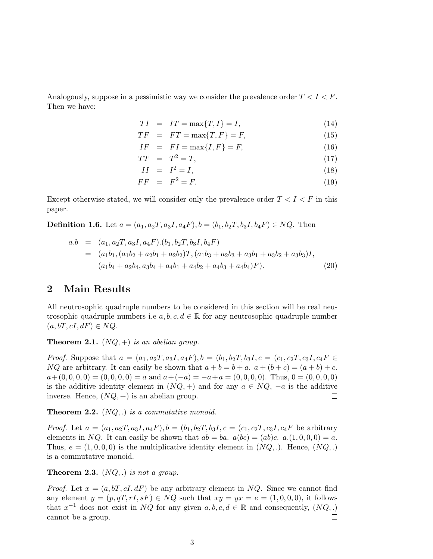Analogously, suppose in a pessimistic way we consider the prevalence order  $T < I < F$ . Then we have:

$$
TI = IT = \max\{T, I\} = I,\tag{14}
$$

$$
TF = FT = \max\{T, F\} = F,\tag{15}
$$

$$
IF = FI = \max\{I, F\} = F,\tag{16}
$$

$$
TT = T^2 = T,\t\t(17)
$$

$$
II = I^2 = I,\t(18)
$$

$$
FF = F^2 = F. \tag{19}
$$

Except otherwise stated, we will consider only the prevalence order  $T < I < F$  in this paper.

**Definition 1.6.** Let  $a = (a_1, a_2T, a_3I, a_4F), b = (b_1, b_2T, b_3I, b_4F) \in NQ$ . Then

$$
a.b = (a_1, a_2T, a_3I, a_4F) \cdot (b_1, b_2T, b_3I, b_4F)
$$
  
=  $(a_1b_1, (a_1b_2 + a_2b_1 + a_2b_2)T, (a_1b_3 + a_2b_3 + a_3b_1 + a_3b_2 + a_3b_3)I,$   
 $(a_1b_4 + a_2b_4, a_3b_4 + a_4b_1 + a_4b_2 + a_4b_3 + a_4b_4)F).$  (20)

## 2 Main Results

All neutrosophic quadruple numbers to be considered in this section will be real neutrosophic quadruple numbers i.e  $a, b, c, d \in \mathbb{R}$  for any neutrosophic quadruple number  $(a, bT, cI, dF) \in NQ$ .

**Theorem 2.1.**  $(NQ,+)$  is an abelian group.

*Proof.* Suppose that  $a = (a_1, a_2, a_3, a_4, a_4, b_1)$ ,  $b = (b_1, b_2, a_3, b_4, c_1, c_2, a_3, c_4, c_4, c_5, c_6, c_7, c_8, d_7, c_8, d_8, d_9, d_9, d_1, d_2, d_3, d_4, d_7, d_8, d_9, d_9, d_9, d_1, d_2, d_3, d_4, d_7, d_8, d_9, d_9, d_9, d_1, d_2, d_3, d_4, d_7,$  $NQ$  are arbitrary. It can easily be shown that  $a + b = b + a$ .  $a + (b + c) = (a + b) + c$ .  $a+(0,0,0,0) = (0,0,0,0) = a$  and  $a+(-a) = -a+a = (0,0,0,0)$ . Thus,  $0 = (0,0,0,0)$ is the additive identity element in  $(NQ, +)$  and for any  $a \in NQ$ ,  $-a$  is the additive inverse. Hence,  $(NQ,+)$  is an abelian group.  $\Box$ 

**Theorem 2.2.**  $(NQ,.)$  is a commutative monoid.

*Proof.* Let  $a = (a_1, a_2T, a_3I, a_4F), b = (b_1, b_2T, b_3I, c = (c_1, c_2T, c_3I, c_4F)$  be arbitrary elements in NQ. It can easily be shown that  $ab = ba$ .  $a(bc) = (ab)c$ .  $a.(1, 0, 0, 0) = a$ . Thus,  $e = (1, 0, 0, 0)$  is the multiplicative identity element in  $(NQ, .)$ . Hence,  $(NQ, .)$ is a commutative monoid.  $\Box$ 

**Theorem 2.3.**  $(NQ, .)$  is not a group.

*Proof.* Let  $x = (a, bT, cI, dF)$  be any arbitrary element in NQ. Since we cannot find any element  $y = (p, qT, rI, sF) \in NQ$  such that  $xy = yx = e = (1, 0, 0, 0)$ , it follows that  $x^{-1}$  does not exist in NQ for any given  $a, b, c, d \in \mathbb{R}$  and consequently,  $(NQ, .)$ cannot be a group.  $\Box$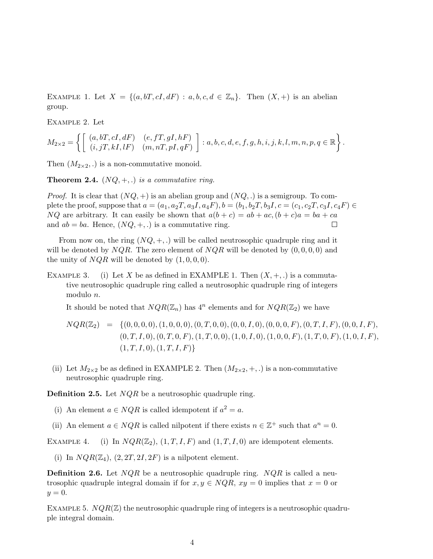EXAMPLE 1. Let  $X = \{(a, bT, cI, dF) : a, b, c, d \in \mathbb{Z}_n\}$ . Then  $(X, +)$  is an abelian group.

Example 2. Let

$$
M_{2\times 2} = \left\{ \left[ \begin{array}{cc} (a, bT, cI, dF) & (e, fT, gI, hF) \\ (i, jT, kI, lF) & (m, nT, pI, qF) \end{array} \right] : a, b, c, d, e, f, g, h, i, j, k, l, m, n, p, q \in \mathbb{R} \right\}.
$$

Then  $(M_{2\times 2},.)$  is a non-commutative monoid.

**Theorem 2.4.**  $(NQ, +, .)$  is a commutative ring.

*Proof.* It is clear that  $(NQ, +)$  is an abelian group and  $(NQ, .)$  is a semigroup. To complete the proof, suppose that  $a = (a_1, a_2T, a_3I, a_4F), b = (b_1, b_2T, b_3I, c = (c_1, c_2T, c_3I, c_4F) \in$  $NQ$  are arbitrary. It can easily be shown that  $a(b + c) = ab + ac$ ,  $(b + c)a = ba + ca$ and  $ab = ba$ . Hence,  $(NQ, +, .)$  is a commutative ring.  $\Box$ 

From now on, the ring  $(NQ, +, .)$  will be called neutrosophic quadruple ring and it will be denoted by  $NQR$ . The zero element of  $NQR$  will be denoted by  $(0,0,0,0)$  and the unity of  $NQR$  will be denoted by  $(1, 0, 0, 0)$ .

EXAMPLE 3. (i) Let X be as defined in EXAMPLE 1. Then  $(X, +, \cdot)$  is a commutative neutrosophic quadruple ring called a neutrosophic quadruple ring of integers modulo n.

It should be noted that  $NQR(\mathbb{Z}_n)$  has  $4^n$  elements and for  $NQR(\mathbb{Z}_2)$  we have

- $NQR(\mathbb{Z}_2) = \{ (0, 0, 0, 0), (1, 0, 0, 0), (0, T, 0, 0), (0, 0, I, 0), (0, 0, 0, F), (0, T, I, F), (0, 0, I, F), (0, 0, I, 0), (0, 0, I, 0), (0, 0, I, 0), (0, 0, I, 0), (0, 0, I, 0), (0, 0, I, 0), (0, 0, I, 0), (0, 0, I, 0), (0, 0, I, 0), (0, 0, I, 0), (0, 0, I, 0), (0, 0, I, 0$  $(0, T, I, 0), (0, T, 0, F), (1, T, 0, 0), (1, 0, I, 0), (1, 0, 0, F), (1, T, 0, F), (1, 0, I, F),$  $(1, T, I, 0), (1, T, I, F)$
- (ii) Let  $M_{2\times 2}$  be as defined in EXAMPLE 2. Then  $(M_{2\times 2}, +,.)$  is a non-commutative neutrosophic quadruple ring.

**Definition 2.5.** Let  $NQR$  be a neutrosophic quadruple ring.

- (i) An element  $a \in NQR$  is called idempotent if  $a^2 = a$ .
- (ii) An element  $a \in NQR$  is called nilpotent if there exists  $n \in \mathbb{Z}^+$  such that  $a^n = 0$ .

EXAMPLE 4. (i) In  $NQR(\mathbb{Z}_2)$ ,  $(1, T, I, F)$  and  $(1, T, I, 0)$  are idempotent elements.

(i) In  $NQR(\mathbb{Z}_4)$ ,  $(2, 2T, 2I, 2F)$  is a nilpotent element.

**Definition 2.6.** Let  $NQR$  be a neutrosophic quadruple ring.  $NQR$  is called a neutrosophic quadruple integral domain if for  $x, y \in NQR$ ,  $xy = 0$  implies that  $x = 0$  or  $y=0.$ 

EXAMPLE 5.  $NQR(\mathbb{Z})$  the neutrosophic quadruple ring of integers is a neutrosophic quadruple integral domain.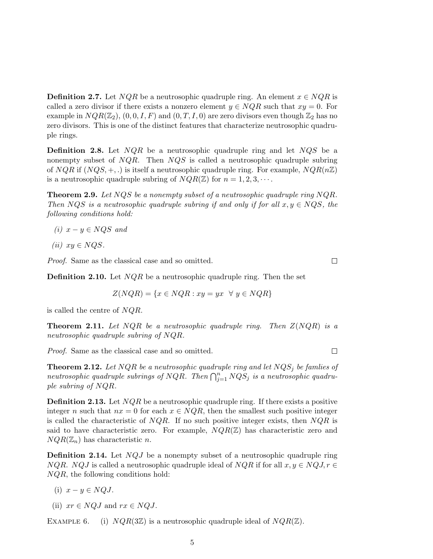**Definition 2.7.** Let  $NQR$  be a neutrosophic quadruple ring. An element  $x \in NQR$  is called a zero divisor if there exists a nonzero element  $y \in NQR$  such that  $xy = 0$ . For example in  $NQR(\mathbb{Z}_2)$ ,  $(0, 0, I, F)$  and  $(0, T, I, 0)$  are zero divisors even though  $\mathbb{Z}_2$  has no zero divisors. This is one of the distinct features that characterize neutrosophic quadruple rings.

**Definition 2.8.** Let  $NQR$  be a neutrosophic quadruple ring and let  $NQS$  be a nonempty subset of  $NQR$ . Then  $NQS$  is called a neutrosophic quadruple subring of  $NQR$  if  $(NQS, +, .)$  is itself a neutrosophic quadruple ring. For example,  $NQR(n\mathbb{Z})$ is a neutrosophic quadruple subring of  $NQR(\mathbb{Z})$  for  $n = 1, 2, 3, \cdots$ .

**Theorem 2.9.** Let  $NQS$  be a nonempty subset of a neutrosophic quadruple ring  $NQR$ . Then NQS is a neutrosophic quadruple subring if and only if for all  $x, y \in NQS$ , the following conditions hold:

- (i)  $x y \in NQS$  and
- (ii)  $xy \in NQS$ .

Proof. Same as the classical case and so omitted.

**Definition 2.10.** Let  $NQR$  be a neutrosophic quadruple ring. Then the set

$$
Z( NQR) = \{ x \in NQR : xy = yx \ \forall y \in NQR \}
$$

is called the centre of NQR.

**Theorem 2.11.** Let  $NQR$  be a neutrosophic quadruple ring. Then  $Z(NQR)$  is a neutrosophic quadruple subring of NQR.

Proof. Same as the classical case and so omitted.

**Theorem 2.12.** Let NQR be a neutrosophic quadruple ring and let  $NQS_j$  be famlies of neutrosophic quadruple subrings of NQR. Then  $\bigcap_{j=1}^n NQS_j$  is a neutrosophic quadruple subring of NQR.

**Definition 2.13.** Let  $NQR$  be a neutrosophic quadruple ring. If there exists a positive integer n such that  $nx = 0$  for each  $x \in NQR$ , then the smallest such positive integer is called the characteristic of  $NQR$ . If no such positive integer exists, then  $NQR$  is said to have characteristic zero. For example,  $NQR(\mathbb{Z})$  has characteristic zero and  $NQR(\mathbb{Z}_n)$  has characteristic n.

**Definition 2.14.** Let  $NQJ$  be a nonempty subset of a neutrosophic quadruple ring  $NQR. NQJ$  is called a neutrosophic quadruple ideal of  $NQR$  if for all  $x, y \in NQJ$ ,  $r \in$ NQR, the following conditions hold:

- (i)  $x y \in NQJ$ .
- (ii)  $xr \in NQJ$  and  $rx \in NQJ$ .

EXAMPLE 6. (i)  $NQR(3\mathbb{Z})$  is a neutrosophic quadruple ideal of  $NQR(\mathbb{Z})$ .

 $\Box$ 

 $\Box$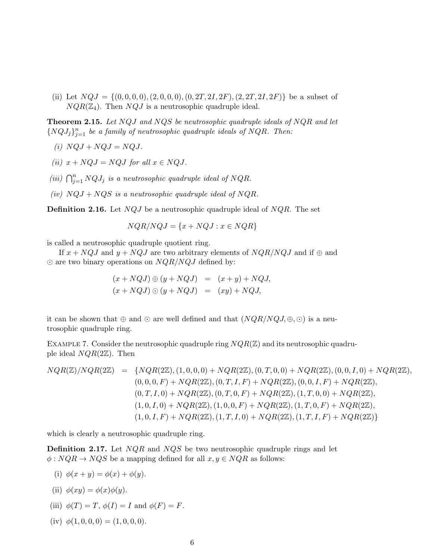(ii) Let  $NQJ = \{(0, 0, 0, 0), (2, 0, 0, 0), (0, 2T, 2I, 2F), (2, 2T, 2I, 2F)\}\)$  be a subset of  $NQR(\mathbb{Z}_4)$ . Then  $NQJ$  is a neutrosophic quadruple ideal.

**Theorem 2.15.** Let NQJ and NQS be neutrosophic quadruple ideals of NQR and let  $\{NQJ_j\}_{j=1}^n$  be a family of neutrosophic quadruple ideals of NQR. Then:

- (i)  $NQJ + NQJ = NQJ$ .
- (ii)  $x + NQJ = NQJ$  for all  $x \in NQJ$ .
- (iii)  $\bigcap_{j=1}^{n} NQJ_j$  is a neutrosophic quadruple ideal of NQR.
- (iv)  $NQJ + NQS$  is a neutrosophic quadruple ideal of  $NQR$ .

**Definition 2.16.** Let  $NQJ$  be a neutrosophic quadruple ideal of  $NQR$ . The set

$$
NQR/ NQJ = \{x + NQJ : x \in NQR\}
$$

is called a neutrosophic quadruple quotient ring.

If  $x + NQJ$  and  $y + NQJ$  are two arbitrary elements of  $NQR/NQJ$  and if  $\oplus$  and  $\odot$  are two binary operations on  $NQR/NQJ$  defined by:

$$
(x + NQJ) \oplus (y + NQJ) = (x + y) + NQJ,
$$
  

$$
(x + NQJ) \odot (y + NQJ) = (xy) + NQJ,
$$

it can be shown that  $\oplus$  and  $\odot$  are well defined and that  $(NQR/NGJ, \oplus, \odot)$  is a neutrosophic quadruple ring.

EXAMPLE 7. Consider the neutrosophic quadruple ring  $NQR(\mathbb{Z})$  and its neutrosophic quadruple ideal  $NQR(2\mathbb{Z})$ . Then

$$
NQR(\mathbb{Z})/NQR(2\mathbb{Z}) = \{NQR(2\mathbb{Z}), (1,0,0,0) + NQR(2\mathbb{Z}), (0,T,0,0) + NQR(2\mathbb{Z}), (0,0,I,0) + NQR(2\mathbb{Z}), (0,0,0,F) + NQR(2\mathbb{Z}), (0,T,I,F) + NQR(2\mathbb{Z}), (0,0,I,F) + NQR(2\mathbb{Z}), (0,T,I,0) + NQR(2\mathbb{Z}), (0,T,I,0,0) + NQR(2\mathbb{Z}), (1,T,0,0) + NQR(2\mathbb{Z}), (1,0,I,0) + NQR(2\mathbb{Z}), (1,0,0,F) + NQR(2\mathbb{Z}), (1,T,0,F) + NQR(2\mathbb{Z}), (1,0,I,F) + NQR(2\mathbb{Z}), (1,T,I,F) + NQR(2\mathbb{Z})\}
$$

which is clearly a neutrosophic quadruple ring.

**Definition 2.17.** Let  $NQR$  and  $NQS$  be two neutrosophic quadruple rings and let  $\phi: NQR \to NQS$  be a mapping defined for all  $x, y \in NQR$  as follows:

(i)  $\phi(x + y) = \phi(x) + \phi(y)$ .

(ii) 
$$
\phi(xy) = \phi(x)\phi(y)
$$
.

- (iii)  $\phi(T) = T$ ,  $\phi(I) = I$  and  $\phi(F) = F$ .
- (iv)  $\phi(1, 0, 0, 0) = (1, 0, 0, 0).$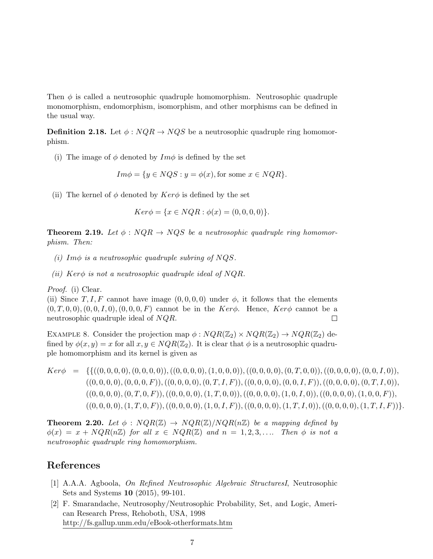Then  $\phi$  is called a neutrosophic quadruple homomorphism. Neutrosophic quadruple monomorphism, endomorphism, isomorphism, and other morphisms can be defined in the usual way.

**Definition 2.18.** Let  $\phi : NQR \rightarrow NQS$  be a neutrosophic quadruple ring homomorphism.

(i) The image of  $\phi$  denoted by  $Im \phi$  is defined by the set

$$
Im\phi = \{y \in NQS : y = \phi(x), \text{for some } x \in NQR\}.
$$

(ii) The kernel of  $\phi$  denoted by  $Ker\phi$  is defined by the set

$$
Ker \phi = \{ x \in NQR : \phi(x) = (0, 0, 0, 0) \}.
$$

**Theorem 2.19.** Let  $\phi$ :  $NQR \rightarrow NQS$  be a neutrosophic quadruple ring homomorphism. Then:

- (i) Im $\phi$  is a neutrosophic quadruple subring of NQS.
- (ii) Ker $\phi$  is not a neutrosophic quadruple ideal of NQR.

Proof. (i) Clear.

(ii) Since T, I, F cannot have image  $(0, 0, 0, 0)$  under  $\phi$ , it follows that the elements  $(0, T, 0, 0), (0, 0, I, 0), (0, 0, 0, F)$  cannot be in the Ker $\phi$ . Hence, Ker $\phi$  cannot be a neutrosophic quadruple ideal of NQR.  $\Box$ 

EXAMPLE 8. Consider the projection map  $\phi: NQR(\mathbb{Z}_2) \times NQR(\mathbb{Z}_2) \rightarrow NQR(\mathbb{Z}_2)$  defined by  $\phi(x, y) = x$  for all  $x, y \in NQR(\mathbb{Z}_2)$ . It is clear that  $\phi$  is a neutrosophic quadruple homomorphism and its kernel is given as

 $Ker\phi = \{ \{ ((0, 0, 0, 0), (0, 0, 0, 0)), ((0, 0, 0, 0), (1, 0, 0, 0)), ((0, 0, 0, 0), (0, T, 0, 0)), ((0, 0, 0, 0), (0, 0, I, 0)) \}$  $((0, 0, 0, 0), (0, 0, 0, F)),((0, 0, 0, 0), (0, T, I, F)),((0, 0, 0, 0), (0, 0, I, F)),((0, 0, 0, 0), (0, T, I, 0)),$  $((0, 0, 0, 0), (0, T, 0, F)),((0, 0, 0, 0), (1, T, 0, 0)),((0, 0, 0, 0), (1, 0, I, 0)),((0, 0, 0, 0), (1, 0, 0, F)),$  $((0, 0, 0, 0), (1, T, 0, F)),((0, 0, 0, 0), (1, 0, I, F)),((0, 0, 0, 0), (1, T, I, 0)),((0, 0, 0, 0), (1, T, I, F))\}.$ 

**Theorem 2.20.** Let  $\phi$  :  $NQR(\mathbb{Z}) \rightarrow NQR(\mathbb{Z})/NQR(n\mathbb{Z})$  be a mapping defined by  $\phi(x) = x + NQR(n\mathbb{Z})$  for all  $x \in NQR(\mathbb{Z})$  and  $n = 1, 2, 3, \ldots$  Then  $\phi$  is not a neutrosophic quadruple ring homomorphism.

### References

- [1] A.A.A. Agboola, On Refined Neutrosophic Algebraic StructuresI, Neutrosophic Sets and Systems 10 (2015), 99-101.
- [2] F. Smarandache, Neutrosophy/Neutrosophic Probability, Set, and Logic, American Research Press, Rehoboth, USA, 1998 http://fs.gallup.unm.edu/eBook-otherformats.htm